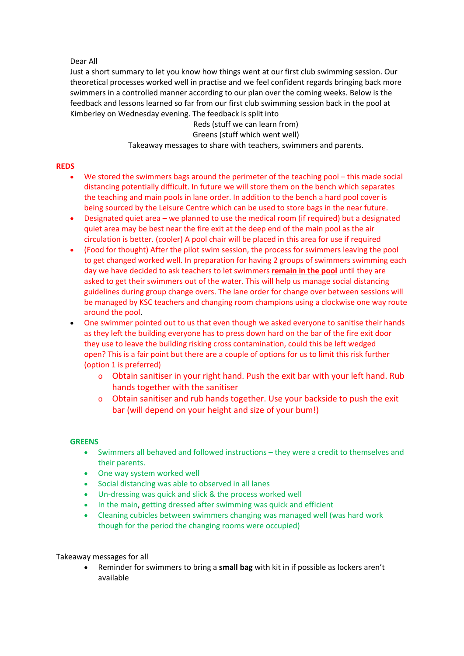Dear All

Just a short summary to let you know how things went at our first club swimming session. Our theoretical processes worked well in practise and we feel confident regards bringing back more swimmers in a controlled manner according to our plan over the coming weeks. Below is the feedback and lessons learned so far from our first club swimming session back in the pool at Kimberley on Wednesday evening. The feedback is split into

> Reds (stuff we can learn from) Greens (stuff which went well) Takeaway messages to share with teachers, swimmers and parents.

## **REDS**

- We stored the swimmers bags around the perimeter of the teaching pool this made social distancing potentially difficult. In future we will store them on the bench which separates the teaching and main pools in lane order. In addition to the bench a hard pool cover is being sourced by the Leisure Centre which can be used to store bags in the near future.
- Designated quiet area we planned to use the medical room (if required) but a designated quiet area may be best near the fire exit at the deep end of the main pool as the air circulation is better. (cooler) A pool chair will be placed in this area for use if required
- (Food for thought) After the pilot swim session, the process for swimmers leaving the pool to get changed worked well. In preparation for having 2 groups of swimmers swimming each day we have decided to ask teachers to let swimmers **remain in the pool** until they are asked to get their swimmers out of the water. This will help us manage social distancing guidelines during group change overs. The lane order for change over between sessions will be managed by KSC teachers and changing room champions using a clockwise one way route around the pool.
- One swimmer pointed out to us that even though we asked everyone to sanitise their hands as they left the building everyone has to press down hard on the bar of the fire exit door they use to leave the building risking cross contamination, could this be left wedged open? This is a fair point but there are a couple of options for us to limit this risk further (option 1 is preferred)
	- o Obtain sanitiser in your right hand. Push the exit bar with your left hand. Rub hands together with the sanitiser
	- o Obtain sanitiser and rub hands together. Use your backside to push the exit bar (will depend on your height and size of your bum!)

## **GREENS**

- Swimmers all behaved and followed instructions they were a credit to themselves and their parents.
- One way system worked well
- Social distancing was able to observed in all lanes
- Un-dressing was quick and slick & the process worked well
- In the main, getting dressed after swimming was quick and efficient
- Cleaning cubicles between swimmers changing was managed well (was hard work though for the period the changing rooms were occupied)

Takeaway messages for all

 Reminder for swimmers to bring a **small bag** with kit in if possible as lockers aren't available